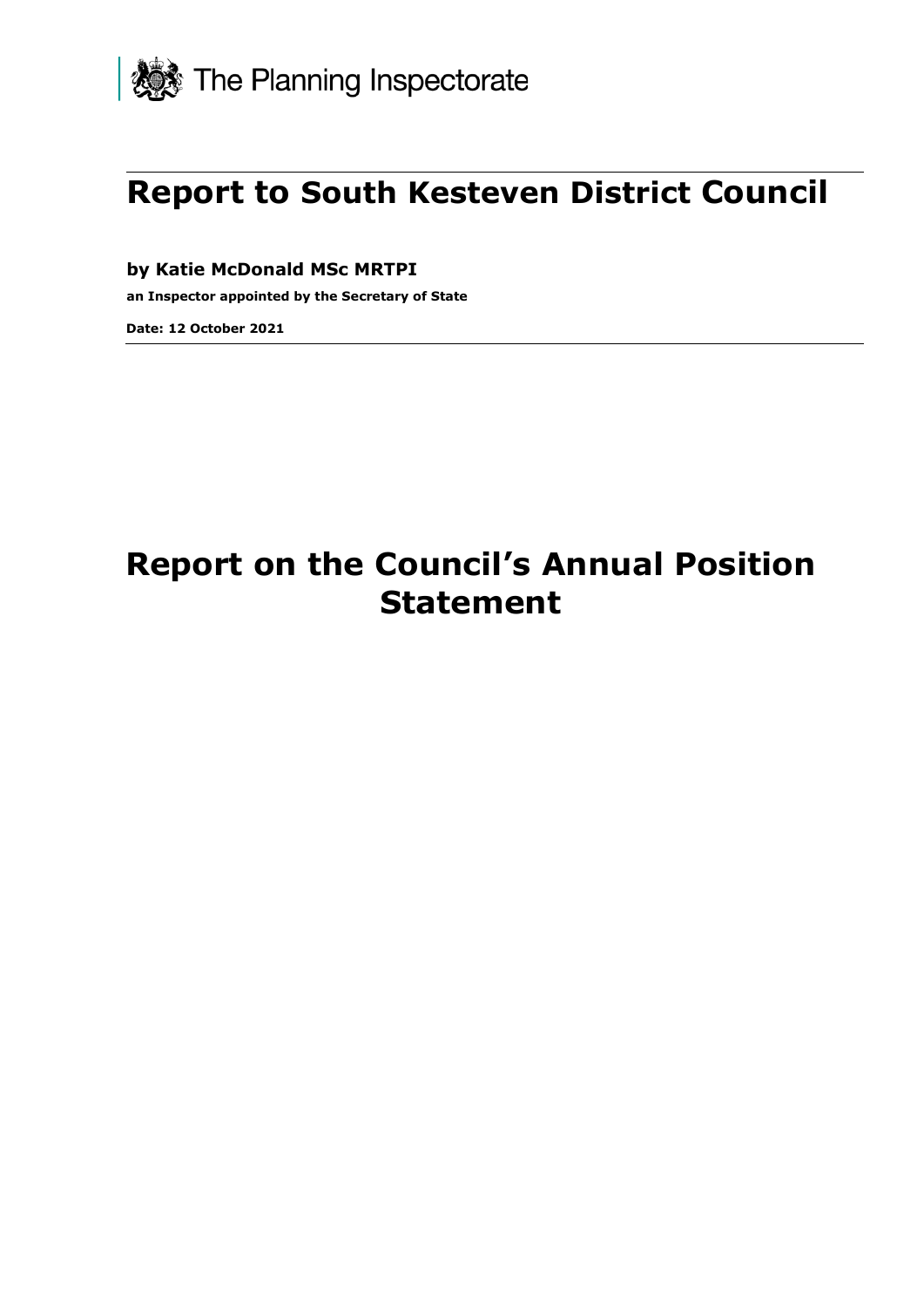

# **Report to South Kesteven District Council**

**by Katie McDonald MSc MRTPI**

**an Inspector appointed by the Secretary of State** 

**Date: 12 October 2021**

# **Report on the Council's Annual Position Statement**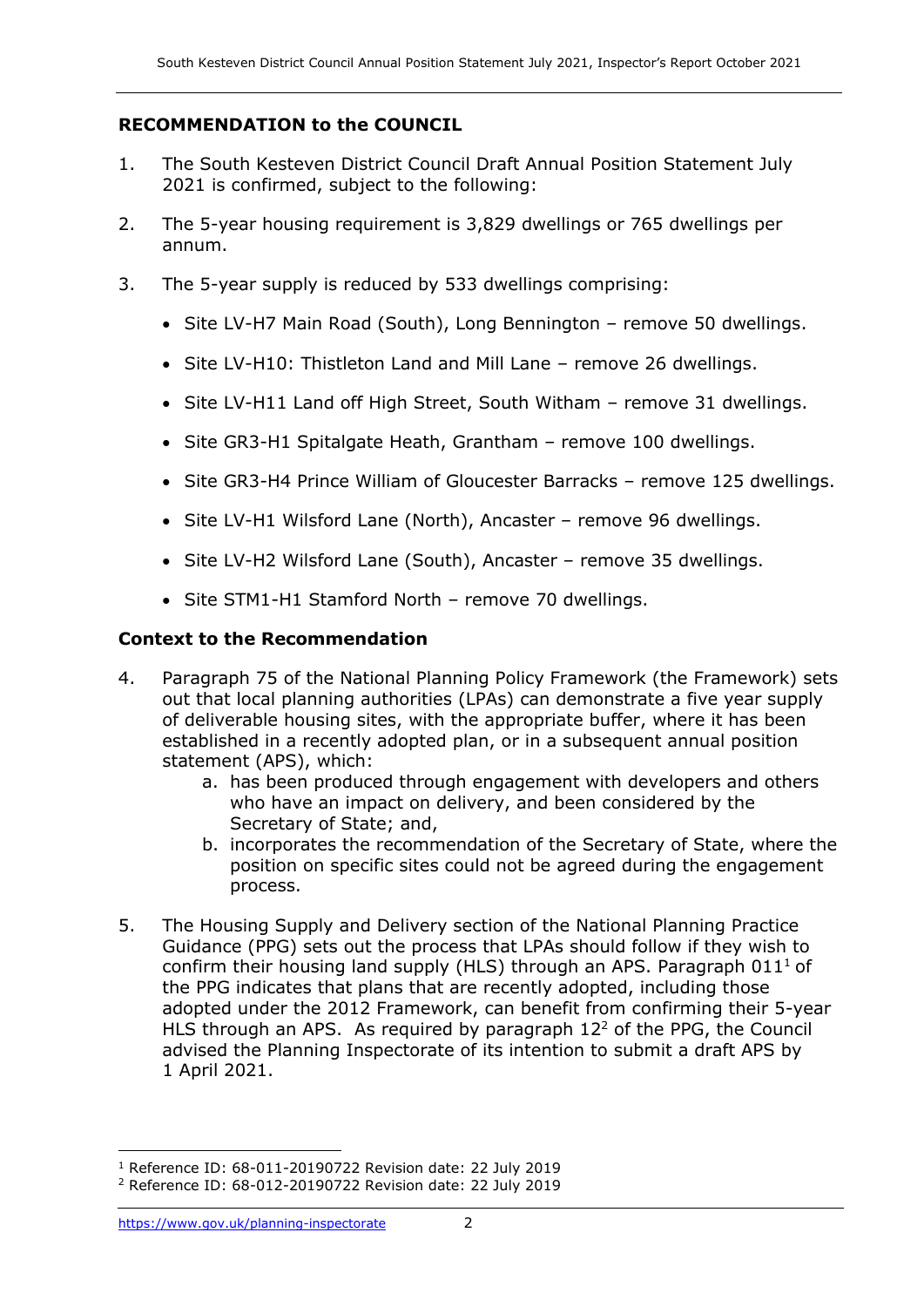## **RECOMMENDATION to the COUNCIL**

- 1. The South Kesteven District Council Draft Annual Position Statement July 2021 is confirmed, subject to the following:
- 2. The 5-year housing requirement is 3,829 dwellings or 765 dwellings per annum.
- 3. The 5-year supply is reduced by 533 dwellings comprising:
	- Site LV-H7 Main Road (South), Long Bennington remove 50 dwellings.
	- Site LV-H10: Thistleton Land and Mill Lane remove 26 dwellings.
	- Site LV-H11 Land off High Street, South Witham remove 31 dwellings.
	- Site GR3-H1 Spitalgate Heath, Grantham remove 100 dwellings.
	- Site GR3-H4 Prince William of Gloucester Barracks remove 125 dwellings.
	- Site LV-H1 Wilsford Lane (North), Ancaster remove 96 dwellings.
	- Site LV-H2 Wilsford Lane (South), Ancaster remove 35 dwellings.
	- Site STM1-H1 Stamford North remove 70 dwellings.

## **Context to the Recommendation**

- 4. Paragraph 75 of the National Planning Policy Framework (the Framework) sets out that local planning authorities (LPAs) can demonstrate a five year supply of deliverable housing sites, with the appropriate buffer, where it has been established in a recently adopted plan, or in a subsequent annual position statement (APS), which:
	- a. has been produced through engagement with developers and others who have an impact on delivery, and been considered by the Secretary of State; and,
	- b. incorporates the recommendation of the Secretary of State, where the position on specific sites could not be agreed during the engagement process.
- 5. The Housing Supply and Delivery section of the National Planning Practice Guidance (PPG) sets out the process that LPAs should follow if they wish to confirm their housing land supply (HLS) through an APS. Paragraph  $011<sup>1</sup>$  of the PPG indicates that plans that are recently adopted, including those adopted under the 2012 Framework, can benefit from confirming their 5-year HLS through an APS. As required by paragraph  $12<sup>2</sup>$  of the PPG, the Council advised the Planning Inspectorate of its intention to submit a draft APS by 1 April 2021.

<sup>1</sup> Reference ID: 68-011-20190722 Revision date: 22 July 2019

<sup>2</sup> Reference ID: 68-012-20190722 Revision date: 22 July 2019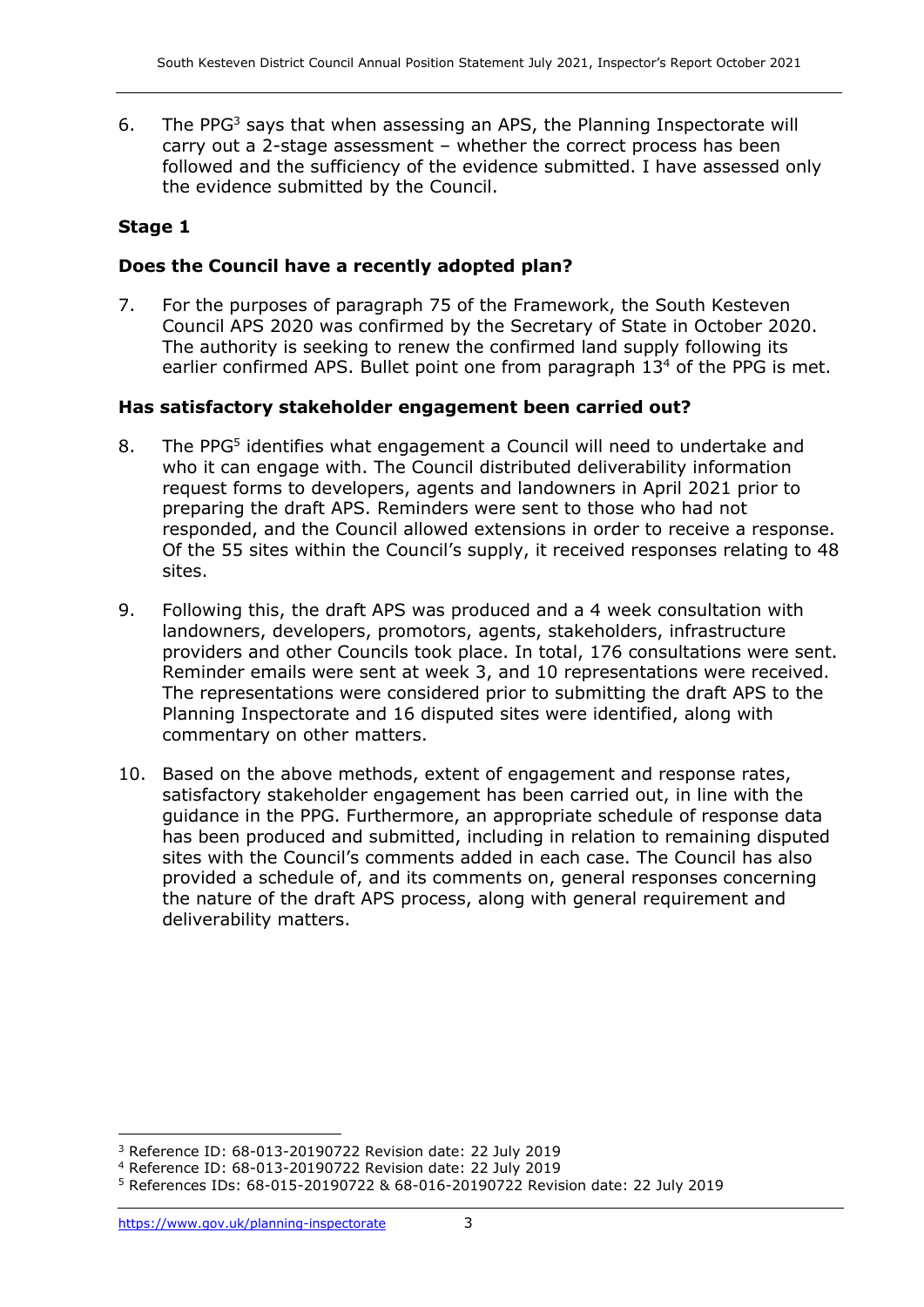6. The PPG<sup>3</sup> says that when assessing an APS, the Planning Inspectorate will carry out a 2-stage assessment – whether the correct process has been followed and the sufficiency of the evidence submitted. I have assessed only the evidence submitted by the Council.

# **Stage 1**

## **Does the Council have a recently adopted plan?**

7. For the purposes of paragraph 75 of the Framework, the South Kesteven Council APS 2020 was confirmed by the Secretary of State in October 2020. The authority is seeking to renew the confirmed land supply following its earlier confirmed APS. Bullet point one from paragraph 13<sup>4</sup> of the PPG is met.

## **Has satisfactory stakeholder engagement been carried out?**

- 8. The PPG<sup>5</sup> identifies what engagement a Council will need to undertake and who it can engage with. The Council distributed deliverability information request forms to developers, agents and landowners in April 2021 prior to preparing the draft APS. Reminders were sent to those who had not responded, and the Council allowed extensions in order to receive a response. Of the 55 sites within the Council's supply, it received responses relating to 48 sites.
- 9. Following this, the draft APS was produced and a 4 week consultation with landowners, developers, promotors, agents, stakeholders, infrastructure providers and other Councils took place. In total, 176 consultations were sent. Reminder emails were sent at week 3, and 10 representations were received. The representations were considered prior to submitting the draft APS to the Planning Inspectorate and 16 disputed sites were identified, along with commentary on other matters.
- 10. Based on the above methods, extent of engagement and response rates, satisfactory stakeholder engagement has been carried out, in line with the guidance in the PPG. Furthermore, an appropriate schedule of response data has been produced and submitted, including in relation to remaining disputed sites with the Council's comments added in each case. The Council has also provided a schedule of, and its comments on, general responses concerning the nature of the draft APS process, along with general requirement and deliverability matters.

<sup>3</sup> Reference ID: 68-013-20190722 Revision date: 22 July 2019

<sup>4</sup> Reference ID: 68-013-20190722 Revision date: 22 July 2019

<sup>5</sup> References IDs: 68-015-20190722 & 68-016-20190722 Revision date: 22 July 2019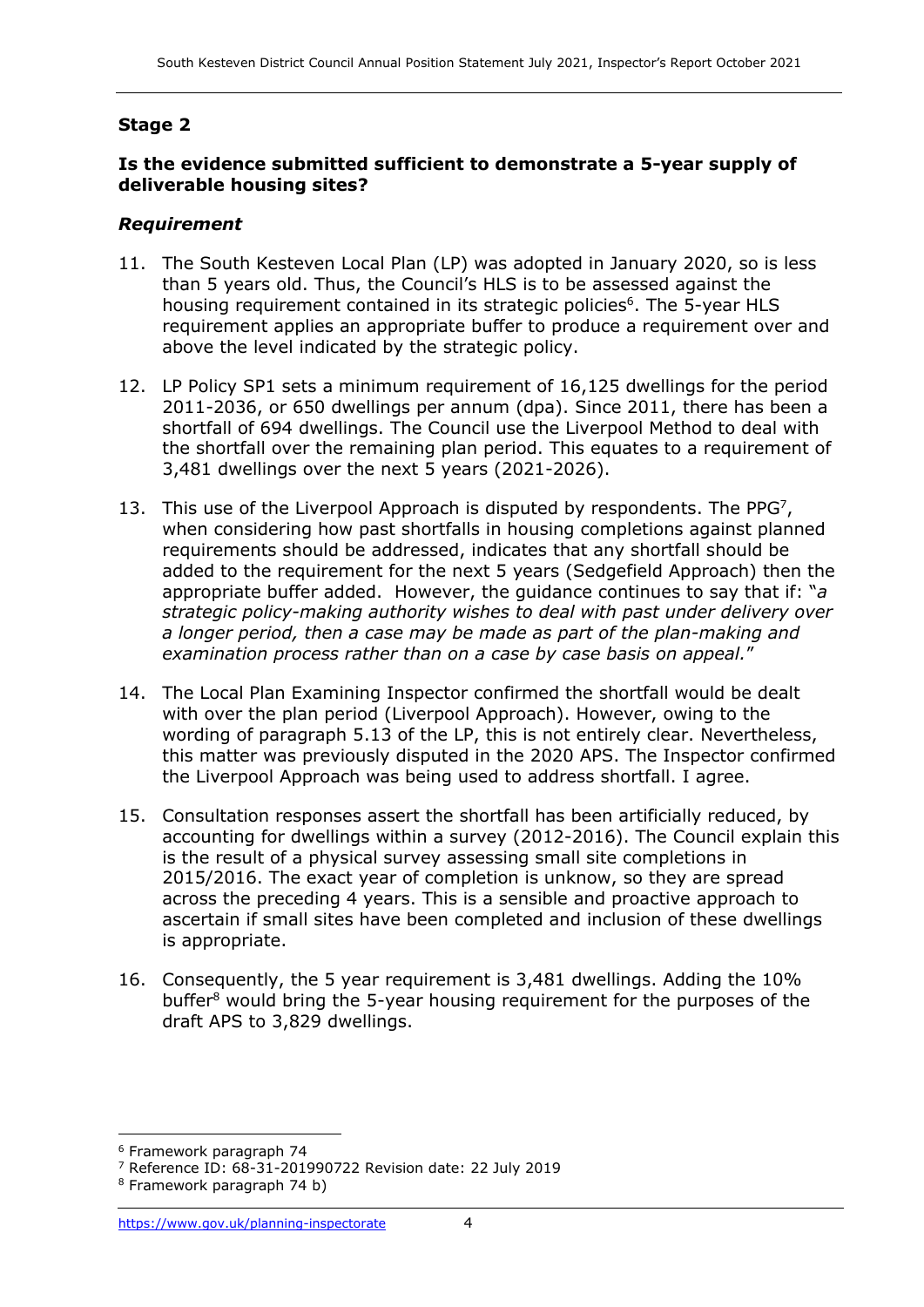# **Stage 2**

#### **Is the evidence submitted sufficient to demonstrate a 5-year supply of deliverable housing sites?**

## *Requirement*

- 11. The South Kesteven Local Plan (LP) was adopted in January 2020, so is less than 5 years old. Thus, the Council's HLS is to be assessed against the housing requirement contained in its strategic policies<sup>6</sup>. The 5-year HLS requirement applies an appropriate buffer to produce a requirement over and above the level indicated by the strategic policy.
- 12. LP Policy SP1 sets a minimum requirement of 16,125 dwellings for the period 2011-2036, or 650 dwellings per annum (dpa). Since 2011, there has been a shortfall of 694 dwellings. The Council use the Liverpool Method to deal with the shortfall over the remaining plan period. This equates to a requirement of 3,481 dwellings over the next 5 years (2021-2026).
- 13. This use of the Liverpool Approach is disputed by respondents. The PPG<sup>7</sup>, when considering how past shortfalls in housing completions against planned requirements should be addressed, indicates that any shortfall should be added to the requirement for the next 5 years (Sedgefield Approach) then the appropriate buffer added. However, the guidance continues to say that if: "*a strategic policy-making authority wishes to deal with past under delivery over a longer period, then a case may be made as part of the plan-making and examination process rather than on a case by case basis on appeal.*"
- 14. The Local Plan Examining Inspector confirmed the shortfall would be dealt with over the plan period (Liverpool Approach). However, owing to the wording of paragraph 5.13 of the LP, this is not entirely clear. Nevertheless, this matter was previously disputed in the 2020 APS. The Inspector confirmed the Liverpool Approach was being used to address shortfall. I agree.
- 15. Consultation responses assert the shortfall has been artificially reduced, by accounting for dwellings within a survey (2012-2016). The Council explain this is the result of a physical survey assessing small site completions in 2015/2016. The exact year of completion is unknow, so they are spread across the preceding 4 years. This is a sensible and proactive approach to ascertain if small sites have been completed and inclusion of these dwellings is appropriate.
- 16. Consequently, the 5 year requirement is 3,481 dwellings. Adding the 10% buffer<sup>8</sup> would bring the 5-year housing requirement for the purposes of the draft APS to 3,829 dwellings.

<sup>6</sup> Framework paragraph 74

<sup>7</sup> Reference ID: 68-31-201990722 Revision date: 22 July 2019

<sup>8</sup> Framework paragraph 74 b)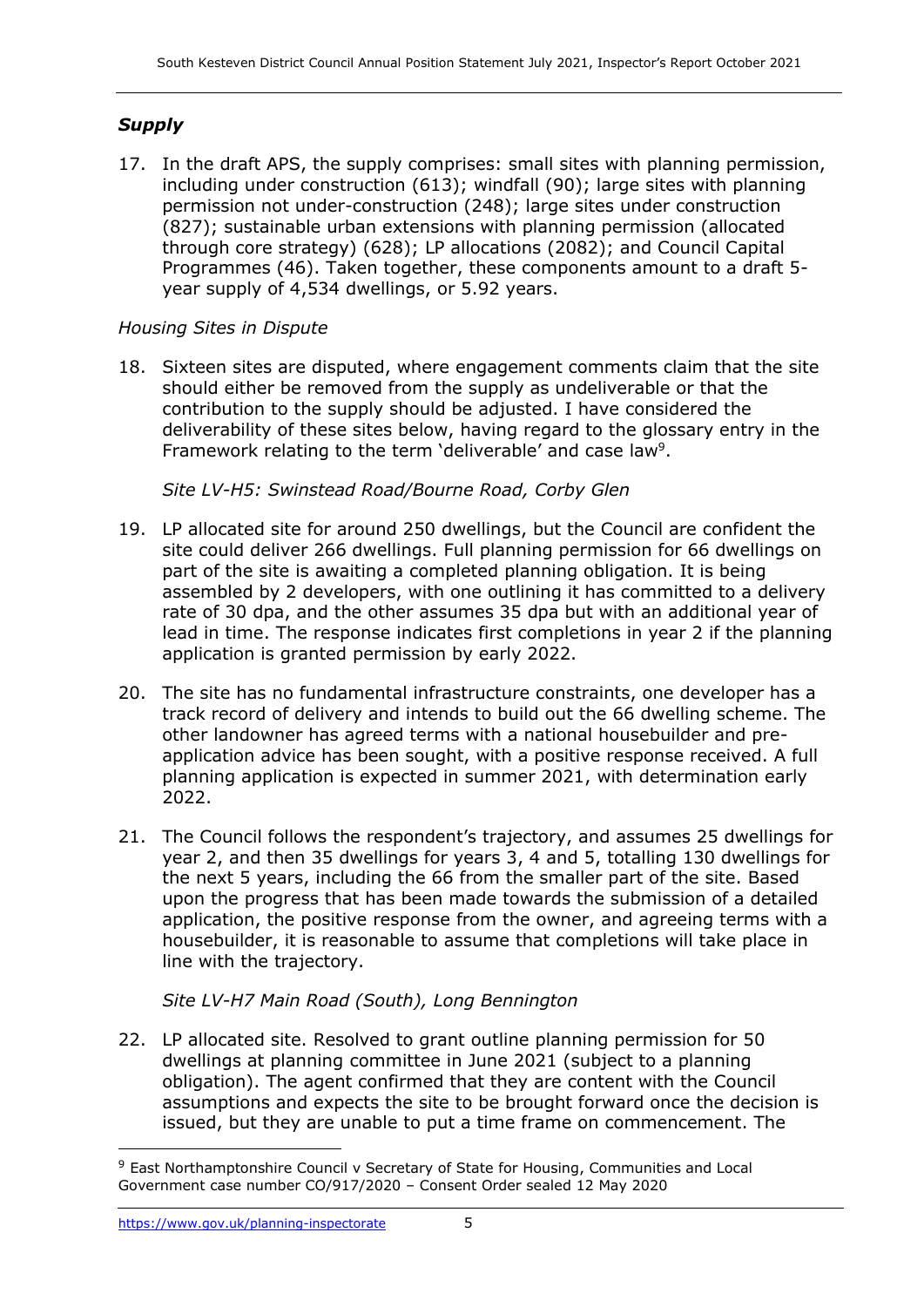# *Supply*

17. In the draft APS, the supply comprises: small sites with planning permission, including under construction (613); windfall (90); large sites with planning permission not under-construction (248); large sites under construction (827); sustainable urban extensions with planning permission (allocated through core strategy) (628); LP allocations (2082); and Council Capital Programmes (46). Taken together, these components amount to a draft 5 year supply of 4,534 dwellings, or 5.92 years.

# *Housing Sites in Dispute*

18. Sixteen sites are disputed, where engagement comments claim that the site should either be removed from the supply as undeliverable or that the contribution to the supply should be adjusted. I have considered the deliverability of these sites below, having regard to the glossary entry in the Framework relating to the term 'deliverable' and case law<sup>9</sup>.

*Site LV-H5: Swinstead Road/Bourne Road, Corby Glen*

- 19. LP allocated site for around 250 dwellings, but the Council are confident the site could deliver 266 dwellings. Full planning permission for 66 dwellings on part of the site is awaiting a completed planning obligation. It is being assembled by 2 developers, with one outlining it has committed to a delivery rate of 30 dpa, and the other assumes 35 dpa but with an additional year of lead in time. The response indicates first completions in year 2 if the planning application is granted permission by early 2022.
- 20. The site has no fundamental infrastructure constraints, one developer has a track record of delivery and intends to build out the 66 dwelling scheme. The other landowner has agreed terms with a national housebuilder and preapplication advice has been sought, with a positive response received. A full planning application is expected in summer 2021, with determination early 2022.
- 21. The Council follows the respondent's trajectory, and assumes 25 dwellings for year 2, and then 35 dwellings for years 3, 4 and 5, totalling 130 dwellings for the next 5 years, including the 66 from the smaller part of the site. Based upon the progress that has been made towards the submission of a detailed application, the positive response from the owner, and agreeing terms with a housebuilder, it is reasonable to assume that completions will take place in line with the trajectory.

# *Site LV-H7 Main Road (South), Long Bennington*

22. LP allocated site. Resolved to grant outline planning permission for 50 dwellings at planning committee in June 2021 (subject to a planning obligation). The agent confirmed that they are content with the Council assumptions and expects the site to be brought forward once the decision is issued, but they are unable to put a time frame on commencement. The

<sup>9</sup> East Northamptonshire Council v Secretary of State for Housing, Communities and Local Government case number CO/917/2020 – Consent Order sealed 12 May 2020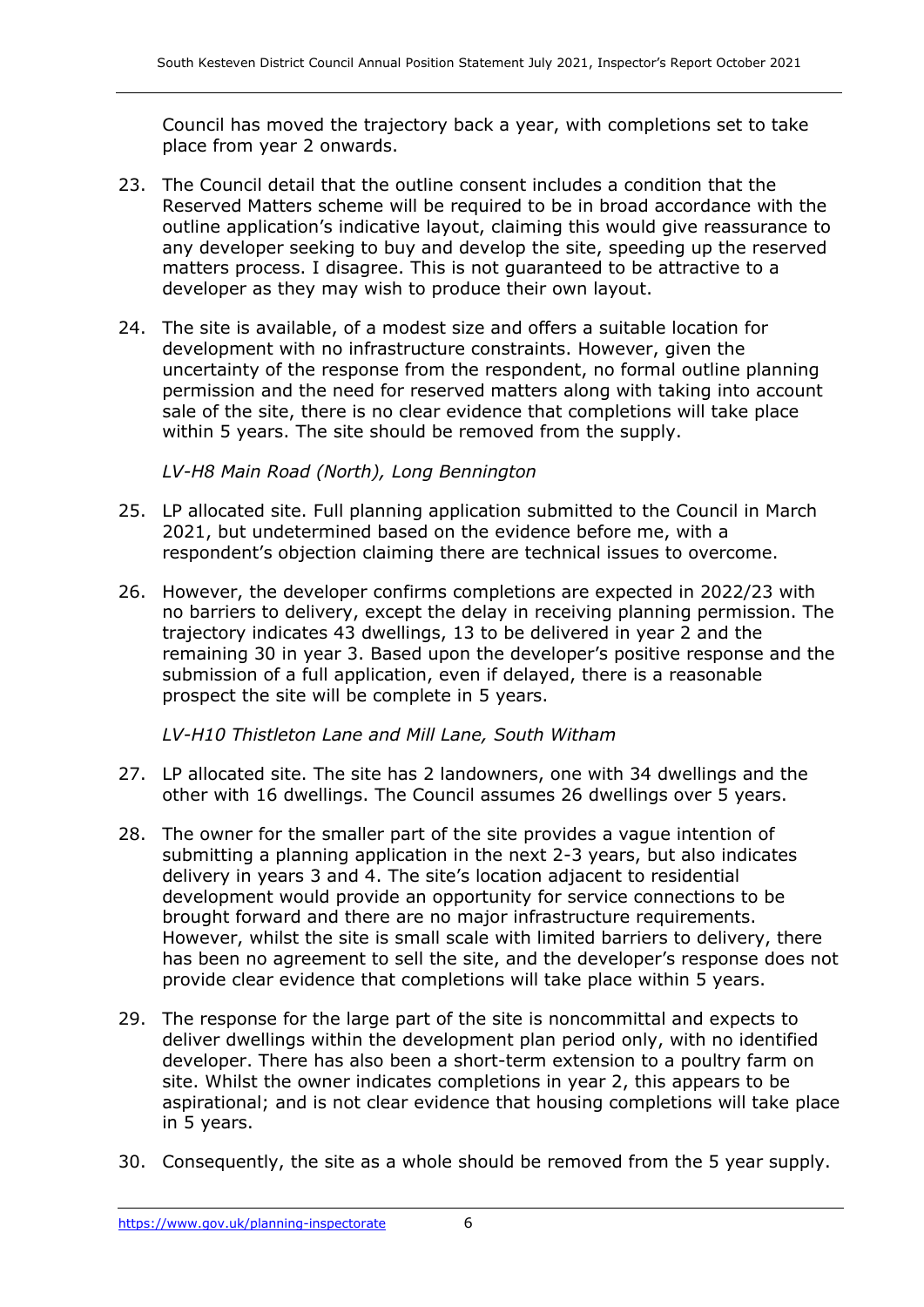Council has moved the trajectory back a year, with completions set to take place from year 2 onwards.

- 23. The Council detail that the outline consent includes a condition that the Reserved Matters scheme will be required to be in broad accordance with the outline application's indicative layout, claiming this would give reassurance to any developer seeking to buy and develop the site, speeding up the reserved matters process. I disagree. This is not guaranteed to be attractive to a developer as they may wish to produce their own layout.
- 24. The site is available, of a modest size and offers a suitable location for development with no infrastructure constraints. However, given the uncertainty of the response from the respondent, no formal outline planning permission and the need for reserved matters along with taking into account sale of the site, there is no clear evidence that completions will take place within 5 years. The site should be removed from the supply.

*LV-H8 Main Road (North), Long Bennington*

- 25. LP allocated site. Full planning application submitted to the Council in March 2021, but undetermined based on the evidence before me, with a respondent's objection claiming there are technical issues to overcome.
- 26. However, the developer confirms completions are expected in 2022/23 with no barriers to delivery, except the delay in receiving planning permission. The trajectory indicates 43 dwellings, 13 to be delivered in year 2 and the remaining 30 in year 3. Based upon the developer's positive response and the submission of a full application, even if delayed, there is a reasonable prospect the site will be complete in 5 years.

*LV-H10 Thistleton Lane and Mill Lane, South Witham*

- 27. LP allocated site. The site has 2 landowners, one with 34 dwellings and the other with 16 dwellings. The Council assumes 26 dwellings over 5 years.
- 28. The owner for the smaller part of the site provides a vague intention of submitting a planning application in the next 2-3 years, but also indicates delivery in years 3 and 4. The site's location adjacent to residential development would provide an opportunity for service connections to be brought forward and there are no major infrastructure requirements. However, whilst the site is small scale with limited barriers to delivery, there has been no agreement to sell the site, and the developer's response does not provide clear evidence that completions will take place within 5 years.
- 29. The response for the large part of the site is noncommittal and expects to deliver dwellings within the development plan period only, with no identified developer. There has also been a short-term extension to a poultry farm on site. Whilst the owner indicates completions in year 2, this appears to be aspirational; and is not clear evidence that housing completions will take place in 5 years.
- 30. Consequently, the site as a whole should be removed from the 5 year supply.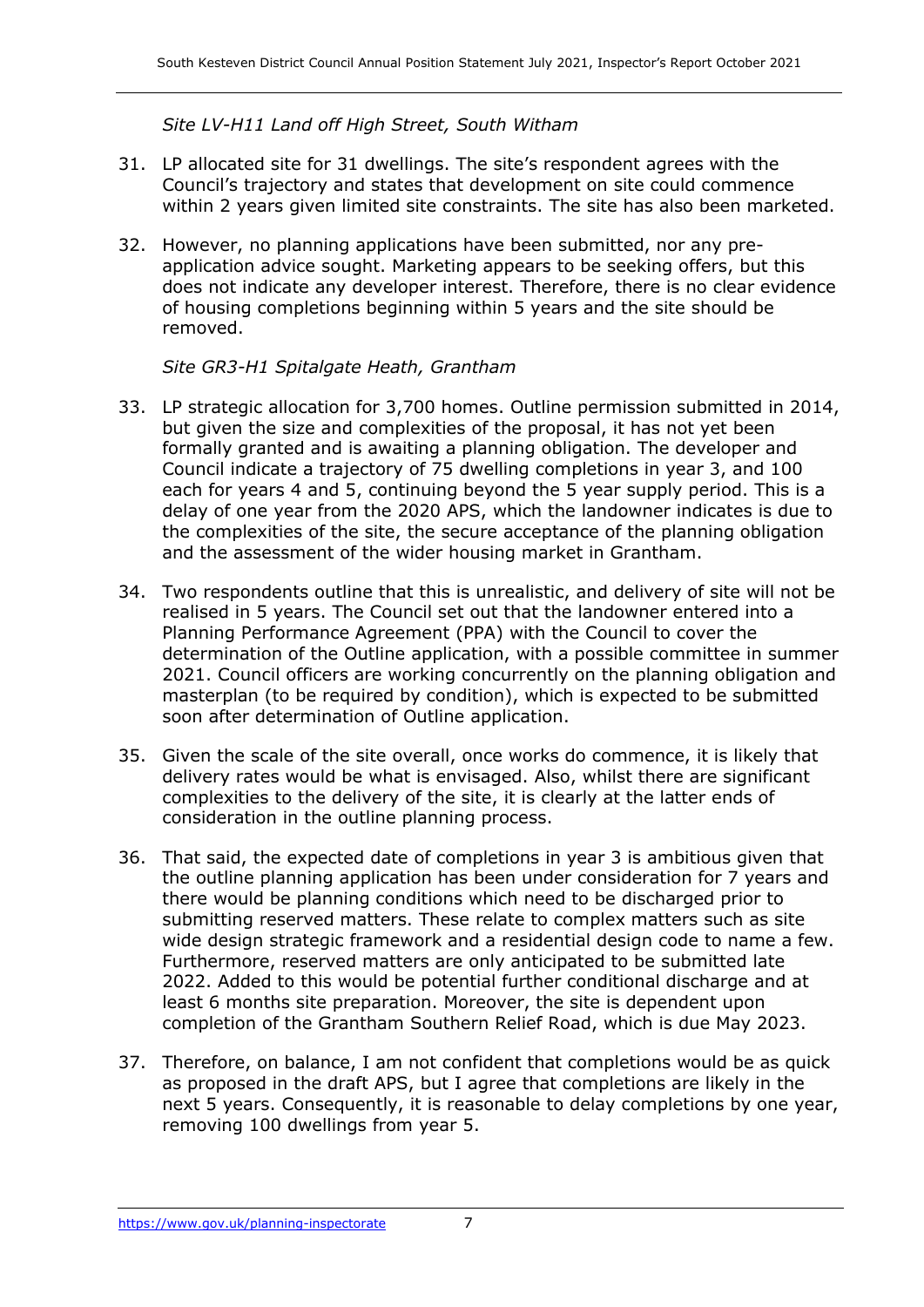*Site LV-H11 Land off High Street, South Witham*

- 31. LP allocated site for 31 dwellings. The site's respondent agrees with the Council's trajectory and states that development on site could commence within 2 years given limited site constraints. The site has also been marketed.
- 32. However, no planning applications have been submitted, nor any preapplication advice sought. Marketing appears to be seeking offers, but this does not indicate any developer interest. Therefore, there is no clear evidence of housing completions beginning within 5 years and the site should be removed.

*Site GR3-H1 Spitalgate Heath, Grantham*

- 33. LP strategic allocation for 3,700 homes. Outline permission submitted in 2014, but given the size and complexities of the proposal, it has not yet been formally granted and is awaiting a planning obligation. The developer and Council indicate a trajectory of 75 dwelling completions in year 3, and 100 each for years 4 and 5, continuing beyond the 5 year supply period. This is a delay of one year from the 2020 APS, which the landowner indicates is due to the complexities of the site, the secure acceptance of the planning obligation and the assessment of the wider housing market in Grantham.
- 34. Two respondents outline that this is unrealistic, and delivery of site will not be realised in 5 years. The Council set out that the landowner entered into a Planning Performance Agreement (PPA) with the Council to cover the determination of the Outline application, with a possible committee in summer 2021. Council officers are working concurrently on the planning obligation and masterplan (to be required by condition), which is expected to be submitted soon after determination of Outline application.
- 35. Given the scale of the site overall, once works do commence, it is likely that delivery rates would be what is envisaged. Also, whilst there are significant complexities to the delivery of the site, it is clearly at the latter ends of consideration in the outline planning process.
- 36. That said, the expected date of completions in year 3 is ambitious given that the outline planning application has been under consideration for 7 years and there would be planning conditions which need to be discharged prior to submitting reserved matters. These relate to complex matters such as site wide design strategic framework and a residential design code to name a few. Furthermore, reserved matters are only anticipated to be submitted late 2022. Added to this would be potential further conditional discharge and at least 6 months site preparation. Moreover, the site is dependent upon completion of the Grantham Southern Relief Road, which is due May 2023.
- 37. Therefore, on balance, I am not confident that completions would be as quick as proposed in the draft APS, but I agree that completions are likely in the next 5 years. Consequently, it is reasonable to delay completions by one year, removing 100 dwellings from year 5.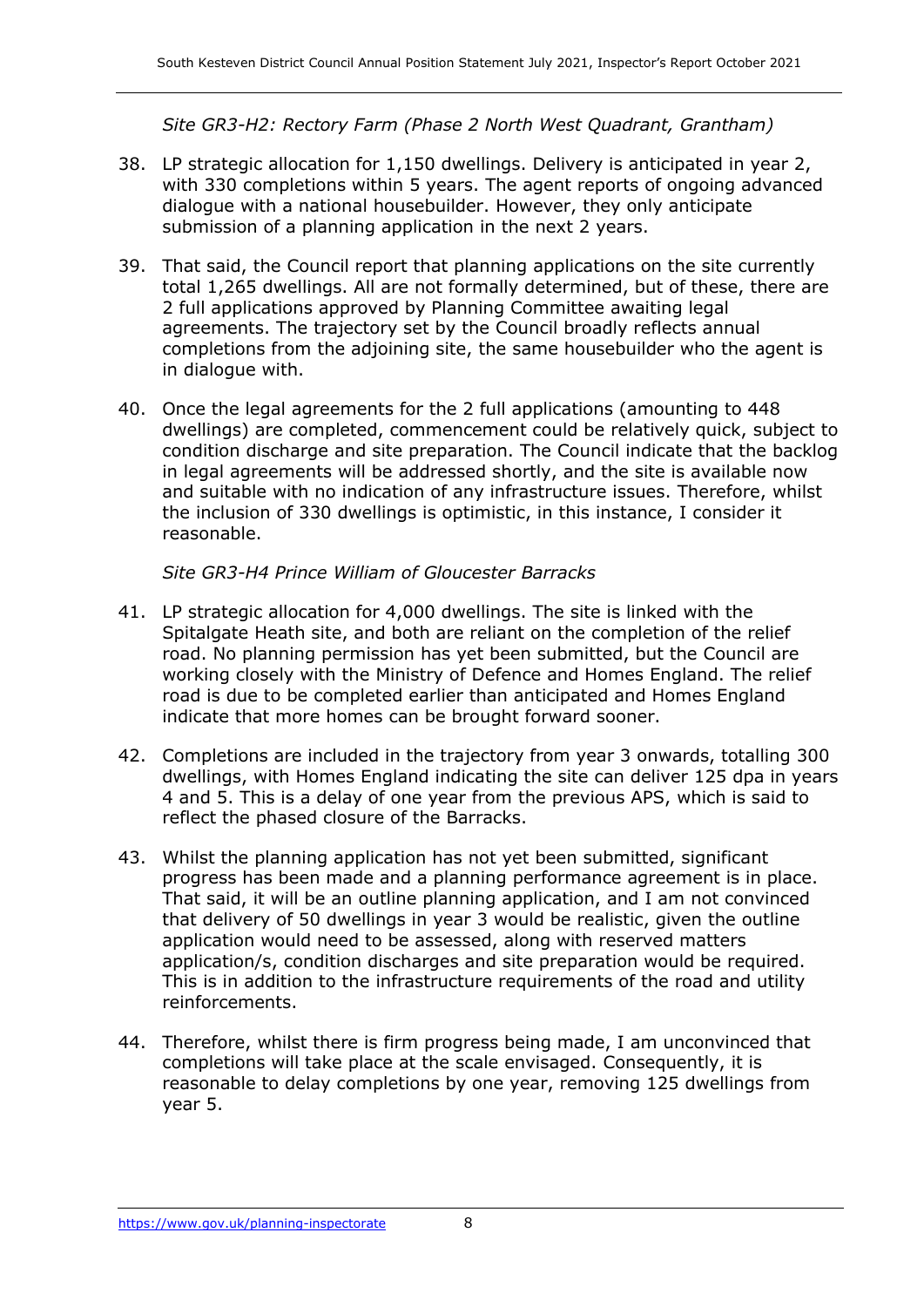*Site GR3-H2: Rectory Farm (Phase 2 North West Quadrant, Grantham)*

- 38. LP strategic allocation for 1,150 dwellings. Delivery is anticipated in year 2, with 330 completions within 5 years. The agent reports of ongoing advanced dialogue with a national housebuilder. However, they only anticipate submission of a planning application in the next 2 years.
- 39. That said, the Council report that planning applications on the site currently total 1,265 dwellings. All are not formally determined, but of these, there are 2 full applications approved by Planning Committee awaiting legal agreements. The trajectory set by the Council broadly reflects annual completions from the adjoining site, the same housebuilder who the agent is in dialogue with.
- 40. Once the legal agreements for the 2 full applications (amounting to 448 dwellings) are completed, commencement could be relatively quick, subject to condition discharge and site preparation. The Council indicate that the backlog in legal agreements will be addressed shortly, and the site is available now and suitable with no indication of any infrastructure issues. Therefore, whilst the inclusion of 330 dwellings is optimistic, in this instance, I consider it reasonable.

## *Site GR3-H4 Prince William of Gloucester Barracks*

- 41. LP strategic allocation for 4,000 dwellings. The site is linked with the Spitalgate Heath site, and both are reliant on the completion of the relief road. No planning permission has yet been submitted, but the Council are working closely with the Ministry of Defence and Homes England. The relief road is due to be completed earlier than anticipated and Homes England indicate that more homes can be brought forward sooner.
- 42. Completions are included in the trajectory from year 3 onwards, totalling 300 dwellings, with Homes England indicating the site can deliver 125 dpa in years 4 and 5. This is a delay of one year from the previous APS, which is said to reflect the phased closure of the Barracks.
- 43. Whilst the planning application has not yet been submitted, significant progress has been made and a planning performance agreement is in place. That said, it will be an outline planning application, and I am not convinced that delivery of 50 dwellings in year 3 would be realistic, given the outline application would need to be assessed, along with reserved matters application/s, condition discharges and site preparation would be required. This is in addition to the infrastructure requirements of the road and utility reinforcements.
- 44. Therefore, whilst there is firm progress being made, I am unconvinced that completions will take place at the scale envisaged. Consequently, it is reasonable to delay completions by one year, removing 125 dwellings from year 5.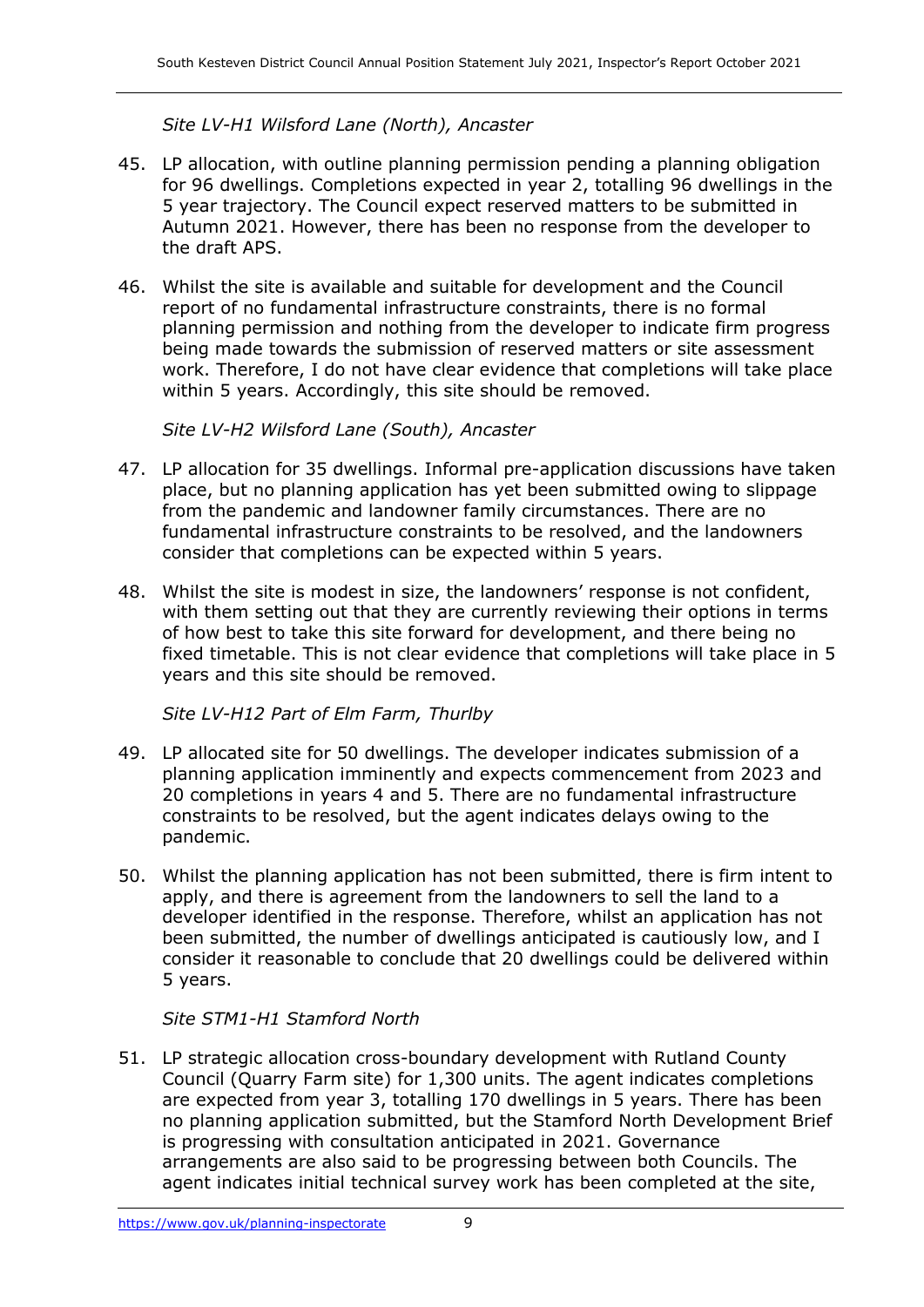*Site LV-H1 Wilsford Lane (North), Ancaster*

- 45. LP allocation, with outline planning permission pending a planning obligation for 96 dwellings. Completions expected in year 2, totalling 96 dwellings in the 5 year trajectory. The Council expect reserved matters to be submitted in Autumn 2021. However, there has been no response from the developer to the draft APS.
- 46. Whilst the site is available and suitable for development and the Council report of no fundamental infrastructure constraints, there is no formal planning permission and nothing from the developer to indicate firm progress being made towards the submission of reserved matters or site assessment work. Therefore, I do not have clear evidence that completions will take place within 5 years. Accordingly, this site should be removed.

*Site LV-H2 Wilsford Lane (South), Ancaster*

- 47. LP allocation for 35 dwellings. Informal pre-application discussions have taken place, but no planning application has yet been submitted owing to slippage from the pandemic and landowner family circumstances. There are no fundamental infrastructure constraints to be resolved, and the landowners consider that completions can be expected within 5 years.
- 48. Whilst the site is modest in size, the landowners' response is not confident, with them setting out that they are currently reviewing their options in terms of how best to take this site forward for development, and there being no fixed timetable. This is not clear evidence that completions will take place in 5 years and this site should be removed.

*Site LV-H12 Part of Elm Farm, Thurlby*

- 49. LP allocated site for 50 dwellings. The developer indicates submission of a planning application imminently and expects commencement from 2023 and 20 completions in years 4 and 5. There are no fundamental infrastructure constraints to be resolved, but the agent indicates delays owing to the pandemic.
- 50. Whilst the planning application has not been submitted, there is firm intent to apply, and there is agreement from the landowners to sell the land to a developer identified in the response. Therefore, whilst an application has not been submitted, the number of dwellings anticipated is cautiously low, and I consider it reasonable to conclude that 20 dwellings could be delivered within 5 years.

#### *Site STM1-H1 Stamford North*

51. LP strategic allocation cross-boundary development with Rutland County Council (Quarry Farm site) for 1,300 units. The agent indicates completions are expected from year 3, totalling 170 dwellings in 5 years. There has been no planning application submitted, but the Stamford North Development Brief is progressing with consultation anticipated in 2021. Governance arrangements are also said to be progressing between both Councils. The agent indicates initial technical survey work has been completed at the site,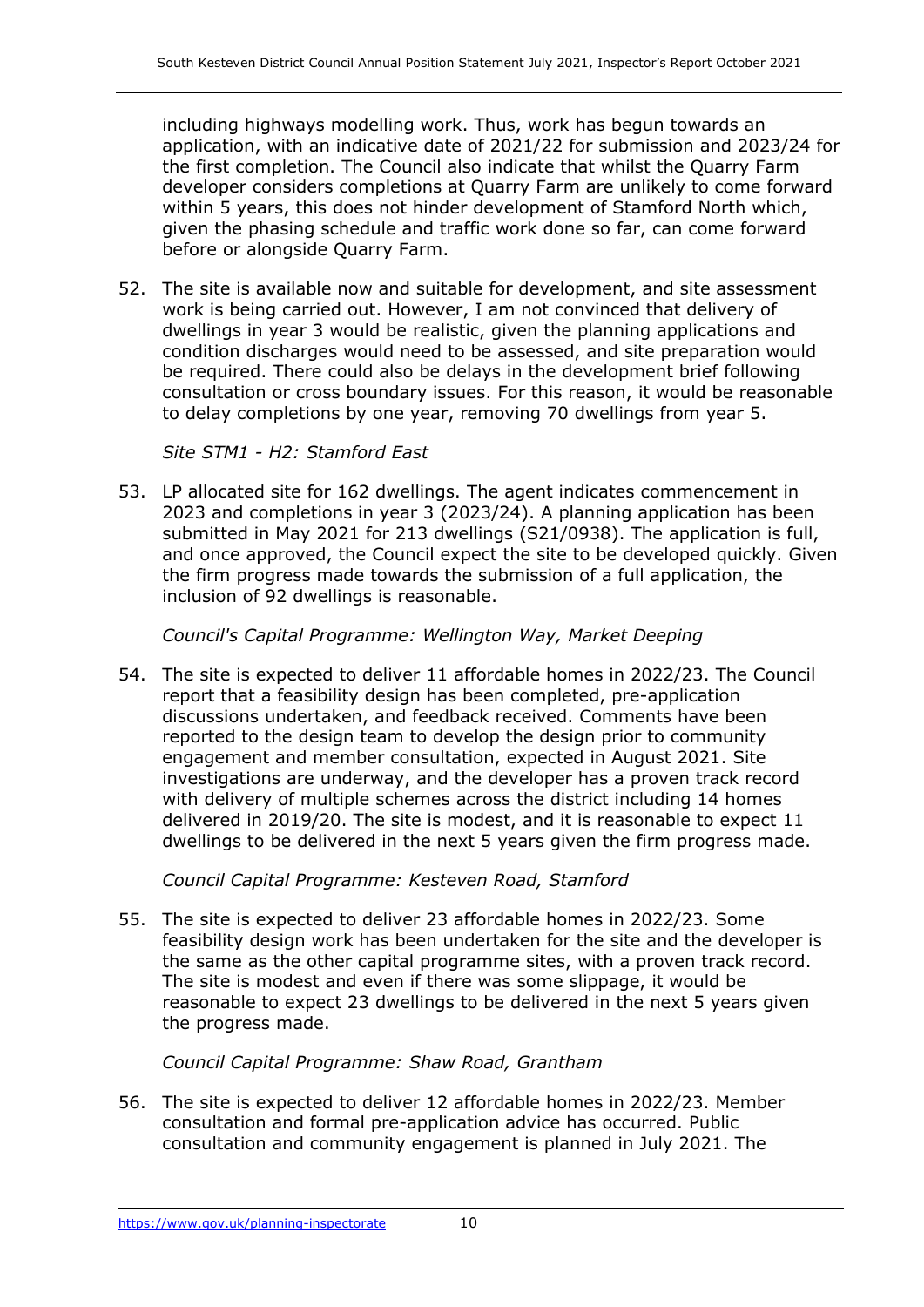including highways modelling work. Thus, work has begun towards an application, with an indicative date of 2021/22 for submission and 2023/24 for the first completion. The Council also indicate that whilst the Quarry Farm developer considers completions at Quarry Farm are unlikely to come forward within 5 years, this does not hinder development of Stamford North which, given the phasing schedule and traffic work done so far, can come forward before or alongside Quarry Farm.

52. The site is available now and suitable for development, and site assessment work is being carried out. However, I am not convinced that delivery of dwellings in year 3 would be realistic, given the planning applications and condition discharges would need to be assessed, and site preparation would be required. There could also be delays in the development brief following consultation or cross boundary issues. For this reason, it would be reasonable to delay completions by one year, removing 70 dwellings from year 5.

*Site STM1 - H2: Stamford East*

53. LP allocated site for 162 dwellings. The agent indicates commencement in 2023 and completions in year 3 (2023/24). A planning application has been submitted in May 2021 for 213 dwellings (S21/0938). The application is full, and once approved, the Council expect the site to be developed quickly. Given the firm progress made towards the submission of a full application, the inclusion of 92 dwellings is reasonable.

*Council's Capital Programme: Wellington Way, Market Deeping*

54. The site is expected to deliver 11 affordable homes in 2022/23. The Council report that a feasibility design has been completed, pre-application discussions undertaken, and feedback received. Comments have been reported to the design team to develop the design prior to community engagement and member consultation, expected in August 2021. Site investigations are underway, and the developer has a proven track record with delivery of multiple schemes across the district including 14 homes delivered in 2019/20. The site is modest, and it is reasonable to expect 11 dwellings to be delivered in the next 5 years given the firm progress made.

*Council Capital Programme: Kesteven Road, Stamford*

55. The site is expected to deliver 23 affordable homes in 2022/23. Some feasibility design work has been undertaken for the site and the developer is the same as the other capital programme sites, with a proven track record. The site is modest and even if there was some slippage, it would be reasonable to expect 23 dwellings to be delivered in the next 5 years given the progress made.

*Council Capital Programme: Shaw Road, Grantham*

56. The site is expected to deliver 12 affordable homes in 2022/23. Member consultation and formal pre-application advice has occurred. Public consultation and community engagement is planned in July 2021. The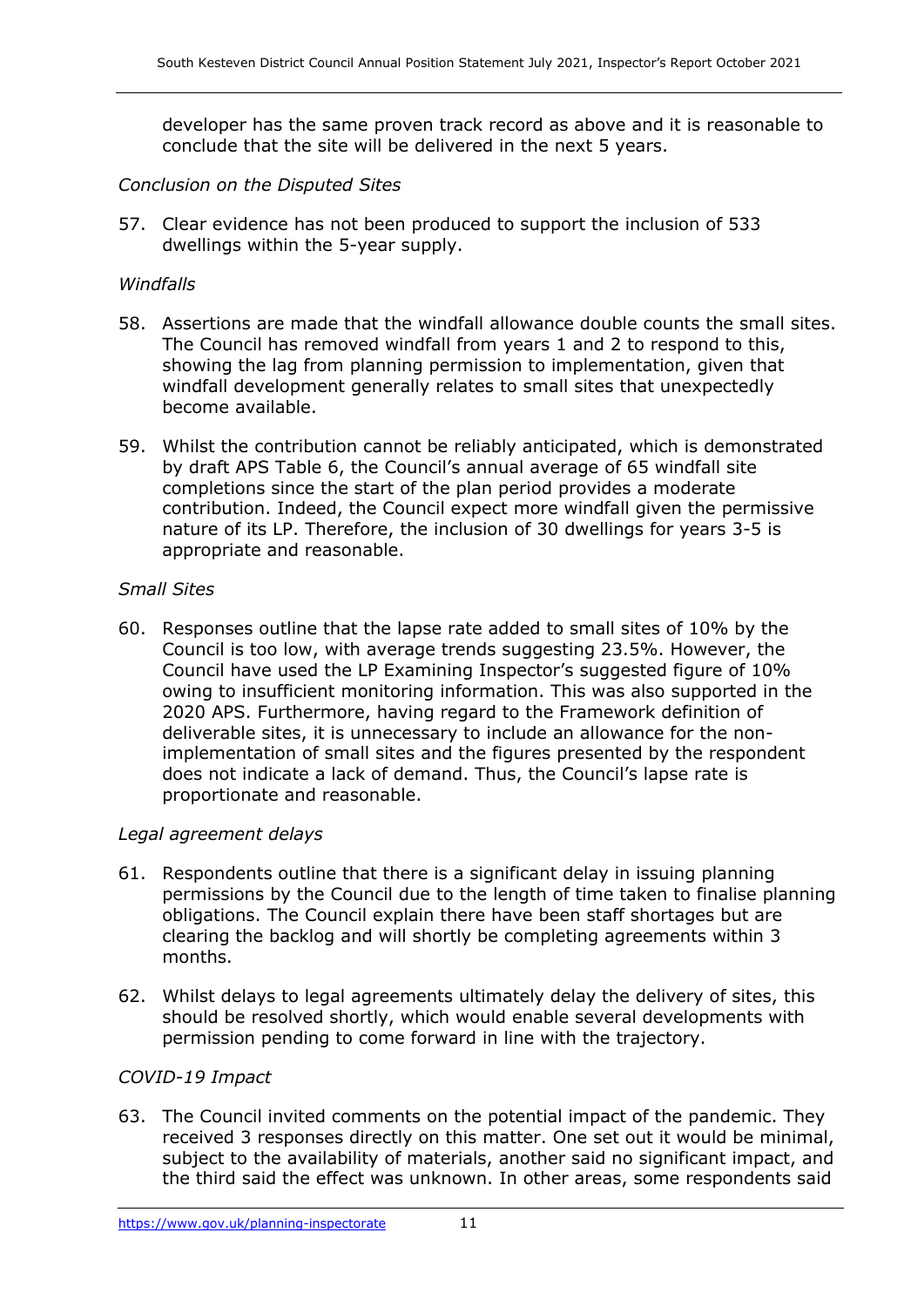developer has the same proven track record as above and it is reasonable to conclude that the site will be delivered in the next 5 years.

#### *Conclusion on the Disputed Sites*

57. Clear evidence has not been produced to support the inclusion of 533 dwellings within the 5-year supply.

#### *Windfalls*

- 58. Assertions are made that the windfall allowance double counts the small sites. The Council has removed windfall from years 1 and 2 to respond to this, showing the lag from planning permission to implementation, given that windfall development generally relates to small sites that unexpectedly become available.
- 59. Whilst the contribution cannot be reliably anticipated, which is demonstrated by draft APS Table 6, the Council's annual average of 65 windfall site completions since the start of the plan period provides a moderate contribution. Indeed, the Council expect more windfall given the permissive nature of its LP. Therefore, the inclusion of 30 dwellings for years 3-5 is appropriate and reasonable.

#### *Small Sites*

60. Responses outline that the lapse rate added to small sites of 10% by the Council is too low, with average trends suggesting 23.5%. However, the Council have used the LP Examining Inspector's suggested figure of 10% owing to insufficient monitoring information. This was also supported in the 2020 APS. Furthermore, having regard to the Framework definition of deliverable sites, it is unnecessary to include an allowance for the nonimplementation of small sites and the figures presented by the respondent does not indicate a lack of demand. Thus, the Council's lapse rate is proportionate and reasonable.

#### *Legal agreement delays*

- 61. Respondents outline that there is a significant delay in issuing planning permissions by the Council due to the length of time taken to finalise planning obligations. The Council explain there have been staff shortages but are clearing the backlog and will shortly be completing agreements within 3 months.
- 62. Whilst delays to legal agreements ultimately delay the delivery of sites, this should be resolved shortly, which would enable several developments with permission pending to come forward in line with the trajectory.

### *COVID-19 Impact*

63. The Council invited comments on the potential impact of the pandemic. They received 3 responses directly on this matter. One set out it would be minimal, subject to the availability of materials, another said no significant impact, and the third said the effect was unknown. In other areas, some respondents said